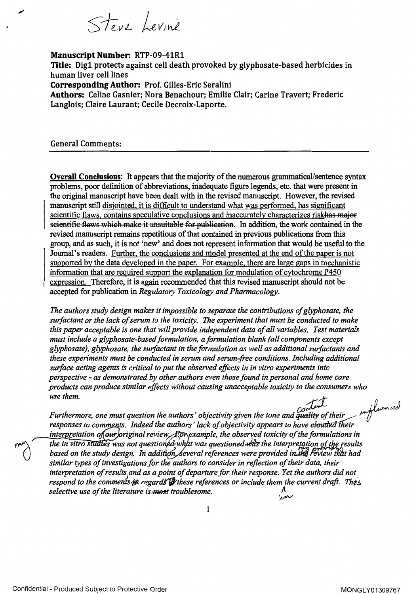Steve Levine

## Manuscript Number: RTP-09-41R1

Title: Dig1 protects against cell death provoked by glyphosate-based herbicides in human liver cell lines Corresponding Author: Prof. Gilles-Eric Seralini Authors: Celine Gasnier; Nora Benachour; Emilie Clair; Carine Travert; Frederic Langlois; Claire Laurant; Cecile Decroix-Laporte.

General Comments:

de

**Overall Conclusions:** It appears that the majority of the numerous grammatical/sentence syntax problems, poor definition of abbreviations, inadequate figure legends, etc. that were present in the original manuscript have been dealt with in the revised manuscript. However, the revised manuscript still disjointed, it is difficult to understand what was performed, has significant scientific flaws, contains speculative conclusions and inaccurately characterizes riskhas major e it unsuitable for publication. In addition, the work contained in the revised manuscript remains repetitious of that contained in previous publications from this group, and as such, it is not `new' and does not represent information that would be useful to the Journal's readers. Further, the conclusions and model presented at the end of the paper is not supported by the data developed in the paper. For example, there are large gaps in mechanistic information that are required support the explanation for modulation of cytochrome P450 expression. Therefore, it is again recommended that this revised manuscript should not be accepted for publication in Regulatory Toxicology and Pharmacology.

The authors study design makes it impossible to separate the contributions ofglyphosate, the surfactant or the lack of serum to the toxicity. The experiment that must be conducted to make this paper acceptable is one that will provide independent data of all variables. Test materials must include a glyphosate-based formulation, aformulation blank (all components except glyphosate), glyphosate, the surfactant in the formulation as well as additional surfactants and these experiments must be conducted in serum and serum-free conditions. Including additional surface acting agents is critical to put the observed effects in in vitro experiments into perspective - as demonstrated by other authors even those found in personal and home care products can produce similar effects without causing unacceptable toxicity to the consumers who use them. influenced

*Condum*<br>Furthermore, one must question the authors' objectivity given the tone and quality of their responses to comments. Indeed the authors' lack of objectivity appears to have elouded their interpretation of our foriginal review  $R$ or example, the observed toxicity of the formulations in

the in vitro studies was not questioned what was questioned  $\sqrt{dx}$  the interpretation of the results based on the study design. In addition, several references were provided in the review that had similar types of investigations for the authors to consider in reflection of their data, their interpretation of results and as a point of departure for their response. Yet the authors did not respond to the comments- $\ddot{\mathbf{z}}$  regards  $\dddot{\mathbf{z}}$  these references or include them the current draft. Thes selective use of the literature is *most* troublesome.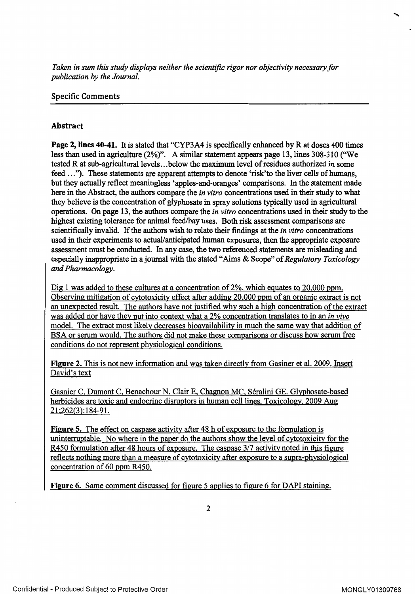Taken in sum this study displays neither the scientific rigor nor objectivity necessary for publication by the Journal.

## Specific Comments

## Abstract

Page 2, lines 40-41. It is stated that "CYP3A4 is specifically enhanced by R at doses 400 times less than used in agriculture (2%)". A similar statement appears page 13, lines 308-310 ("We tested R at sub-agricultural levels.. .below the maximum level of residues authorized in some feed ..."). These statements are apparent attempts to denote 'risk'to the liver cells of humans, but they actually reflect meaningless 'apples-and-oranges' comparisons. In the statement made here in the Abstract, the authors compare the in vitro concentrations used in their study to what they believe is the concentration of [glyphosate](https://www.baumhedlundlaw.com/) in spray solutions typically used in agricultural operations. On page 13, the authors compare the in vitro concentrations used in their study to the highest existing tolerance for animal feed/hay uses. Both risk assessment comparisons are scientifically invalid. If the authors wish to relate their findings at the *in vitro* concentrations used in their experiments to actual/anticipated human exposures, then the appropriate exposure assessment must be conducted. In any case, the two referenced statements are misleading and especially inappropriate in a journal with the stated "Aims & Scope" of Regulatory Toxicology and Pharmacology.

Dig 1 was added to these cultures at a concentration of 2%, which equates to 20,000 ppm. Observing mitigation of cytotoxicity effect after adding 20,000 ppm of an organic extract is not an unexpected result. The authors have not justified why such a high concentration of the extract was added nor have they put into context what a 2% concentration translates to in an *in vivo* model. The extract most likely decreases bioavailability in much the same way that addition of BSA or serum would. The authors did not make these comparisons or discuss how serum free conditions do not represent physiological conditions.

Figure 2. This is not new information and was taken directly from Gasiner et al. 2009. Insert David's text

Gasnier C, Dumont C, Benachour N, Clair E, Chagnon MC, Seralini GE. Glyphosate-based herbicides are toxic and endocrine disruptors in human cell lines. Toxicology. 2009 Aug 21;262(3):184-91.

Figure 5. The effect on caspase activity after 48 h of exposure to the formulation is uninterruptable. No where in the paper do the authors show the level of cytotoxicity for the R450 formulation after 48 hours of exposure. The caspase 3/7 activity noted in this figure reflects nothing more than a measure of cytotoxicity after exposure to a supra-physiological concentration of 60 ppm R450.

Figure 6. Same comment discussed for figure <sup>5</sup> applies to figure 6 for DAPI staining.